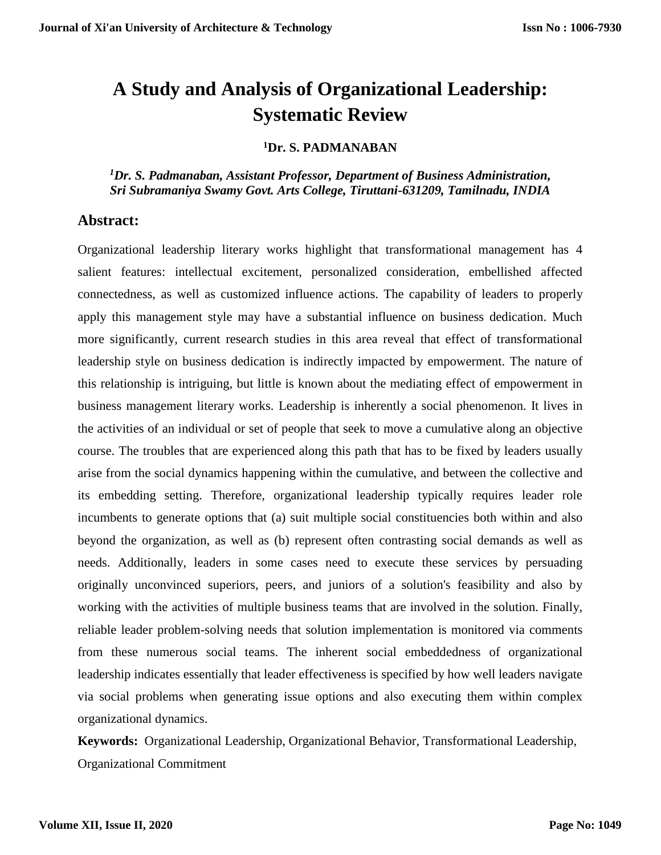# **A Study and Analysis of Organizational Leadership: Systematic Review**

#### **<sup>1</sup>Dr. S. PADMANABAN**

*<sup>1</sup>Dr. S. Padmanaban, Assistant Professor, Department of Business Administration, Sri Subramaniya Swamy Govt. Arts College, Tiruttani-631209, Tamilnadu, INDIA*

## **Abstract:**

Organizational leadership literary works highlight that transformational management has 4 salient features: intellectual excitement, personalized consideration, embellished affected connectedness, as well as customized influence actions. The capability of leaders to properly apply this management style may have a substantial influence on business dedication. Much more significantly, current research studies in this area reveal that effect of transformational leadership style on business dedication is indirectly impacted by empowerment. The nature of this relationship is intriguing, but little is known about the mediating effect of empowerment in business management literary works. Leadership is inherently a social phenomenon. It lives in the activities of an individual or set of people that seek to move a cumulative along an objective course. The troubles that are experienced along this path that has to be fixed by leaders usually arise from the social dynamics happening within the cumulative, and between the collective and its embedding setting. Therefore, organizational leadership typically requires leader role incumbents to generate options that (a) suit multiple social constituencies both within and also beyond the organization, as well as (b) represent often contrasting social demands as well as needs. Additionally, leaders in some cases need to execute these services by persuading originally unconvinced superiors, peers, and juniors of a solution's feasibility and also by working with the activities of multiple business teams that are involved in the solution. Finally, reliable leader problem-solving needs that solution implementation is monitored via comments from these numerous social teams. The inherent social embeddedness of organizational leadership indicates essentially that leader effectiveness is specified by how well leaders navigate via social problems when generating issue options and also executing them within complex organizational dynamics.

**Keywords:** Organizational Leadership, Organizational Behavior, Transformational Leadership, Organizational Commitment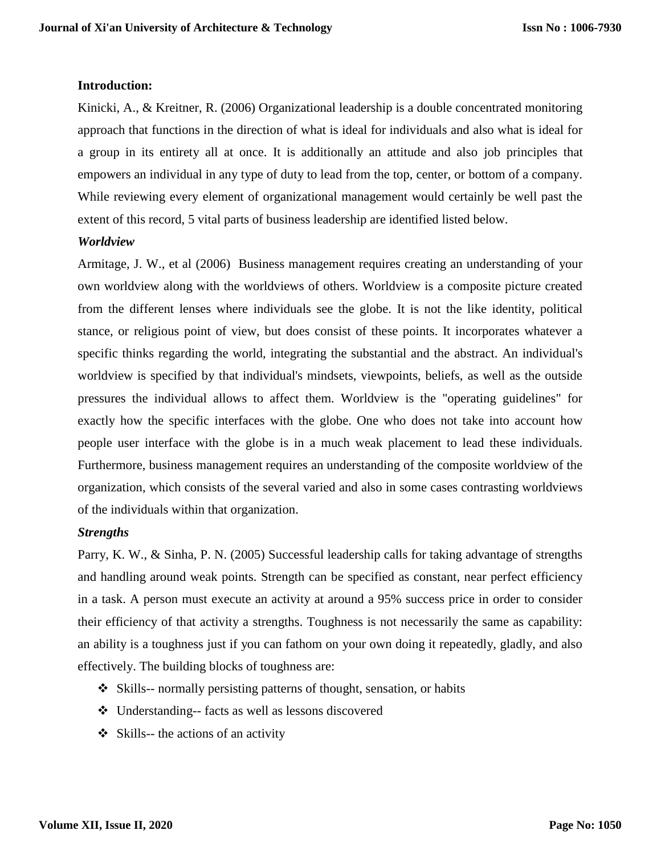#### **Introduction:**

Kinicki, A., & Kreitner, R. (2006) Organizational leadership is a double concentrated monitoring approach that functions in the direction of what is ideal for individuals and also what is ideal for a group in its entirety all at once. It is additionally an attitude and also job principles that empowers an individual in any type of duty to lead from the top, center, or bottom of a company. While reviewing every element of organizational management would certainly be well past the extent of this record, 5 vital parts of business leadership are identified listed below.

#### *Worldview*

Armitage, J. W., et al (2006) Business management requires creating an understanding of your own worldview along with the worldviews of others. Worldview is a composite picture created from the different lenses where individuals see the globe. It is not the like identity, political stance, or religious point of view, but does consist of these points. It incorporates whatever a specific thinks regarding the world, integrating the substantial and the abstract. An individual's worldview is specified by that individual's mindsets, viewpoints, beliefs, as well as the outside pressures the individual allows to affect them. Worldview is the "operating guidelines" for exactly how the specific interfaces with the globe. One who does not take into account how people user interface with the globe is in a much weak placement to lead these individuals. Furthermore, business management requires an understanding of the composite worldview of the organization, which consists of the several varied and also in some cases contrasting worldviews of the individuals within that organization.

#### *Strengths*

Parry, K. W., & Sinha, P. N. (2005) Successful leadership calls for taking advantage of strengths and handling around weak points. Strength can be specified as constant, near perfect efficiency in a task. A person must execute an activity at around a 95% success price in order to consider their efficiency of that activity a strengths. Toughness is not necessarily the same as capability: an ability is a toughness just if you can fathom on your own doing it repeatedly, gladly, and also effectively. The building blocks of toughness are:

- Skills-- normally persisting patterns of thought, sensation, or habits
- Understanding-- facts as well as lessons discovered
- $\triangleleft$  Skills-- the actions of an activity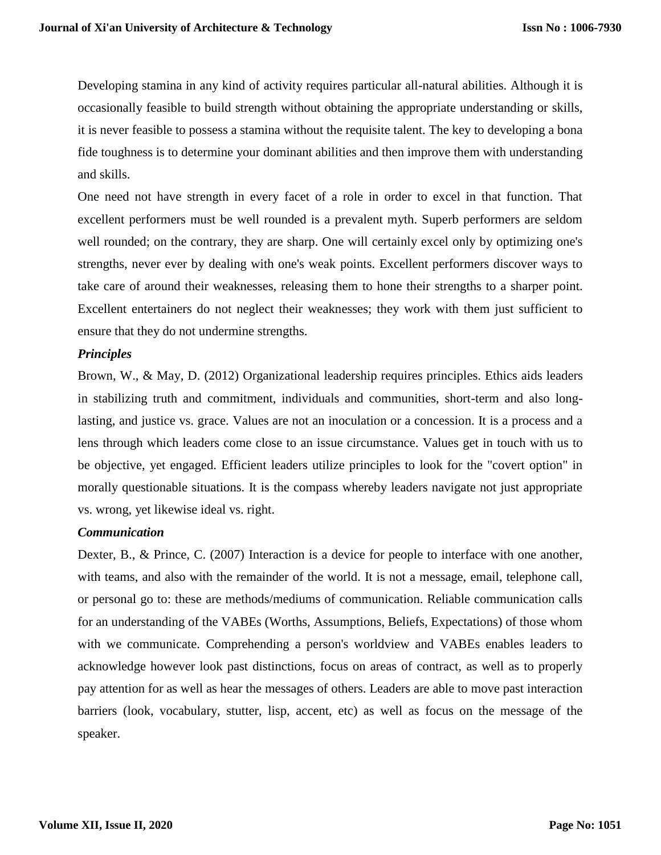Developing stamina in any kind of activity requires particular all-natural abilities. Although it is occasionally feasible to build strength without obtaining the appropriate understanding or skills, it is never feasible to possess a stamina without the requisite talent. The key to developing a bona fide toughness is to determine your dominant abilities and then improve them with understanding and skills.

One need not have strength in every facet of a role in order to excel in that function. That excellent performers must be well rounded is a prevalent myth. Superb performers are seldom well rounded; on the contrary, they are sharp. One will certainly excel only by optimizing one's strengths, never ever by dealing with one's weak points. Excellent performers discover ways to take care of around their weaknesses, releasing them to hone their strengths to a sharper point. Excellent entertainers do not neglect their weaknesses; they work with them just sufficient to ensure that they do not undermine strengths.

#### *Principles*

Brown, W., & May, D. (2012) Organizational leadership requires principles. Ethics aids leaders in stabilizing truth and commitment, individuals and communities, short-term and also longlasting, and justice vs. grace. Values are not an inoculation or a concession. It is a process and a lens through which leaders come close to an issue circumstance. Values get in touch with us to be objective, yet engaged. Efficient leaders utilize principles to look for the "covert option" in morally questionable situations. It is the compass whereby leaders navigate not just appropriate vs. wrong, yet likewise ideal vs. right.

#### *Communication*

Dexter, B., & Prince, C. (2007) Interaction is a device for people to interface with one another, with teams, and also with the remainder of the world. It is not a message, email, telephone call, or personal go to: these are methods/mediums of communication. Reliable communication calls for an understanding of the VABEs (Worths, Assumptions, Beliefs, Expectations) of those whom with we communicate. Comprehending a person's worldview and VABEs enables leaders to acknowledge however look past distinctions, focus on areas of contract, as well as to properly pay attention for as well as hear the messages of others. Leaders are able to move past interaction barriers (look, vocabulary, stutter, lisp, accent, etc) as well as focus on the message of the speaker.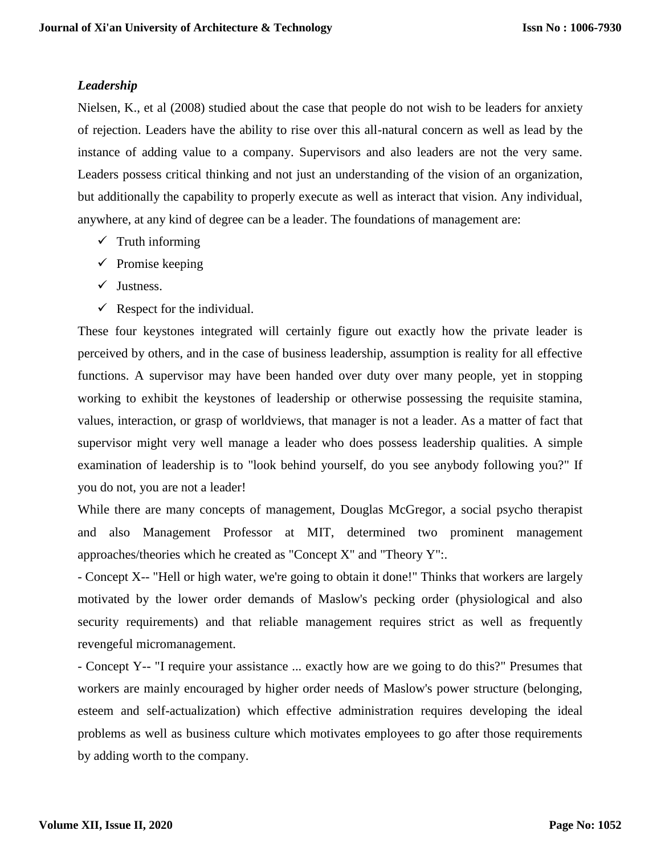# *Leadership*

Nielsen, K., et al (2008) studied about the case that people do not wish to be leaders for anxiety of rejection. Leaders have the ability to rise over this all-natural concern as well as lead by the instance of adding value to a company. Supervisors and also leaders are not the very same. Leaders possess critical thinking and not just an understanding of the vision of an organization, but additionally the capability to properly execute as well as interact that vision. Any individual, anywhere, at any kind of degree can be a leader. The foundations of management are:

- $\checkmark$  Truth informing
- $\checkmark$  Promise keeping
- $\checkmark$  Justness.
- $\checkmark$  Respect for the individual.

These four keystones integrated will certainly figure out exactly how the private leader is perceived by others, and in the case of business leadership, assumption is reality for all effective functions. A supervisor may have been handed over duty over many people, yet in stopping working to exhibit the keystones of leadership or otherwise possessing the requisite stamina, values, interaction, or grasp of worldviews, that manager is not a leader. As a matter of fact that supervisor might very well manage a leader who does possess leadership qualities. A simple examination of leadership is to "look behind yourself, do you see anybody following you?" If you do not, you are not a leader!

While there are many concepts of management, Douglas McGregor, a social psycho therapist and also Management Professor at MIT, determined two prominent management approaches/theories which he created as "Concept X" and "Theory Y":.

- Concept X-- "Hell or high water, we're going to obtain it done!" Thinks that workers are largely motivated by the lower order demands of Maslow's pecking order (physiological and also security requirements) and that reliable management requires strict as well as frequently revengeful micromanagement.

- Concept Y-- "I require your assistance ... exactly how are we going to do this?" Presumes that workers are mainly encouraged by higher order needs of Maslow's power structure (belonging, esteem and self-actualization) which effective administration requires developing the ideal problems as well as business culture which motivates employees to go after those requirements by adding worth to the company.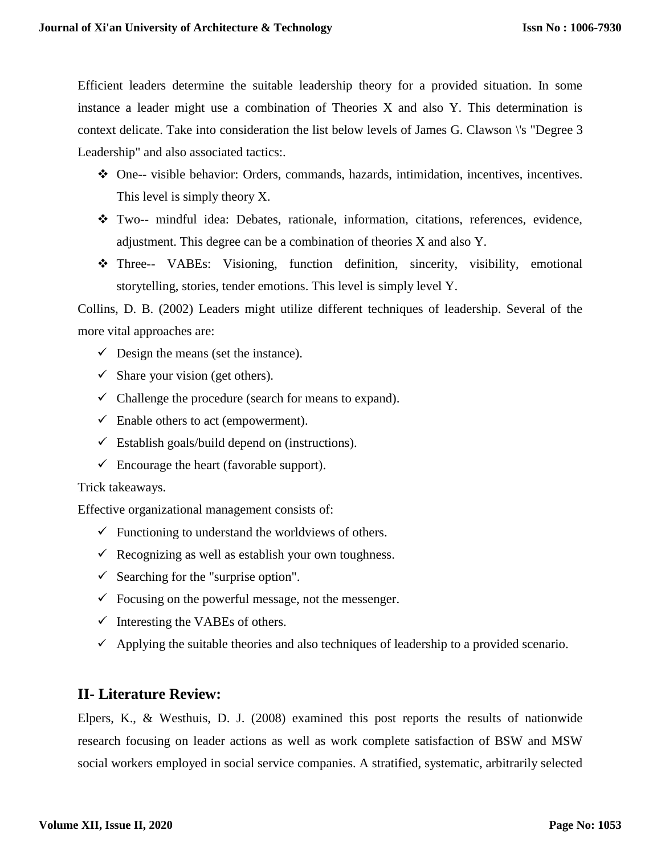Efficient leaders determine the suitable leadership theory for a provided situation. In some instance a leader might use a combination of Theories X and also Y. This determination is context delicate. Take into consideration the list below levels of James G. Clawson \'s "Degree 3 Leadership" and also associated tactics:.

- One-- visible behavior: Orders, commands, hazards, intimidation, incentives, incentives. This level is simply theory X.
- Two-- mindful idea: Debates, rationale, information, citations, references, evidence, adjustment. This degree can be a combination of theories X and also Y.
- Three-- VABEs: Visioning, function definition, sincerity, visibility, emotional storytelling, stories, tender emotions. This level is simply level Y.

Collins, D. B. (2002) Leaders might utilize different techniques of leadership. Several of the more vital approaches are:

- $\checkmark$  Design the means (set the instance).
- $\checkmark$  Share your vision (get others).
- $\checkmark$  Challenge the procedure (search for means to expand).
- $\checkmark$  Enable others to act (empowerment).
- $\checkmark$  Establish goals/build depend on (instructions).
- $\checkmark$  Encourage the heart (favorable support).

#### Trick takeaways.

Effective organizational management consists of:

- $\checkmark$  Functioning to understand the worldviews of others.
- $\checkmark$  Recognizing as well as establish your own toughness.
- $\checkmark$  Searching for the "surprise option".
- $\checkmark$  Focusing on the powerful message, not the messenger.
- $\checkmark$  Interesting the VABEs of others.
- $\checkmark$  Applying the suitable theories and also techniques of leadership to a provided scenario.

# **II- Literature Review:**

Elpers, K., & Westhuis, D. J. (2008) examined this post reports the results of nationwide research focusing on leader actions as well as work complete satisfaction of BSW and MSW social workers employed in social service companies. A stratified, systematic, arbitrarily selected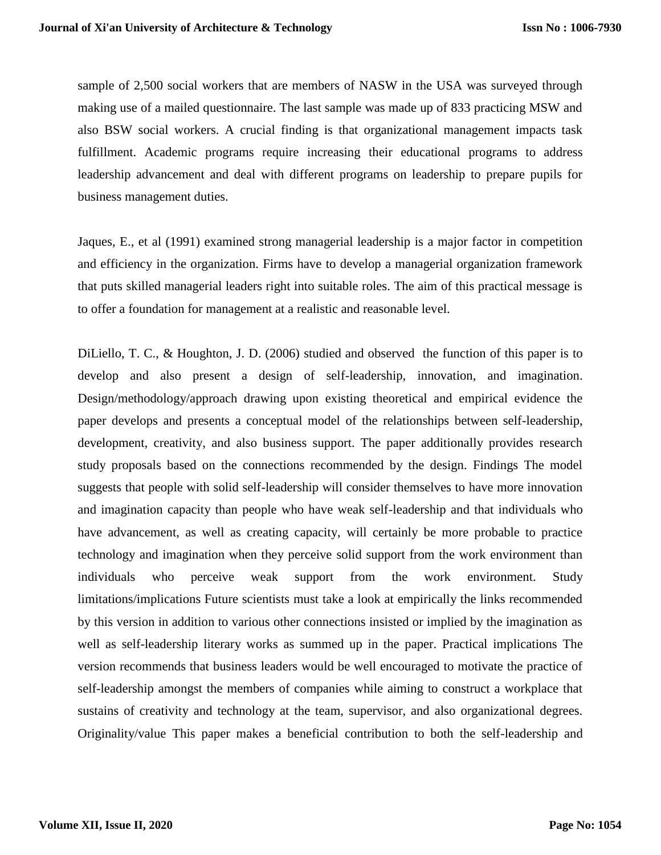sample of 2,500 social workers that are members of NASW in the USA was surveyed through making use of a mailed questionnaire. The last sample was made up of 833 practicing MSW and also BSW social workers. A crucial finding is that organizational management impacts task fulfillment. Academic programs require increasing their educational programs to address leadership advancement and deal with different programs on leadership to prepare pupils for business management duties.

Jaques, E., et al (1991) examined strong managerial leadership is a major factor in competition and efficiency in the organization. Firms have to develop a managerial organization framework that puts skilled managerial leaders right into suitable roles. The aim of this practical message is to offer a foundation for management at a realistic and reasonable level.

DiLiello, T. C., & Houghton, J. D. (2006) studied and observed the function of this paper is to develop and also present a design of self-leadership, innovation, and imagination. Design/methodology/approach drawing upon existing theoretical and empirical evidence the paper develops and presents a conceptual model of the relationships between self-leadership, development, creativity, and also business support. The paper additionally provides research study proposals based on the connections recommended by the design. Findings The model suggests that people with solid self-leadership will consider themselves to have more innovation and imagination capacity than people who have weak self-leadership and that individuals who have advancement, as well as creating capacity, will certainly be more probable to practice technology and imagination when they perceive solid support from the work environment than individuals who perceive weak support from the work environment. Study limitations/implications Future scientists must take a look at empirically the links recommended by this version in addition to various other connections insisted or implied by the imagination as well as self-leadership literary works as summed up in the paper. Practical implications The version recommends that business leaders would be well encouraged to motivate the practice of self-leadership amongst the members of companies while aiming to construct a workplace that sustains of creativity and technology at the team, supervisor, and also organizational degrees. Originality/value This paper makes a beneficial contribution to both the self-leadership and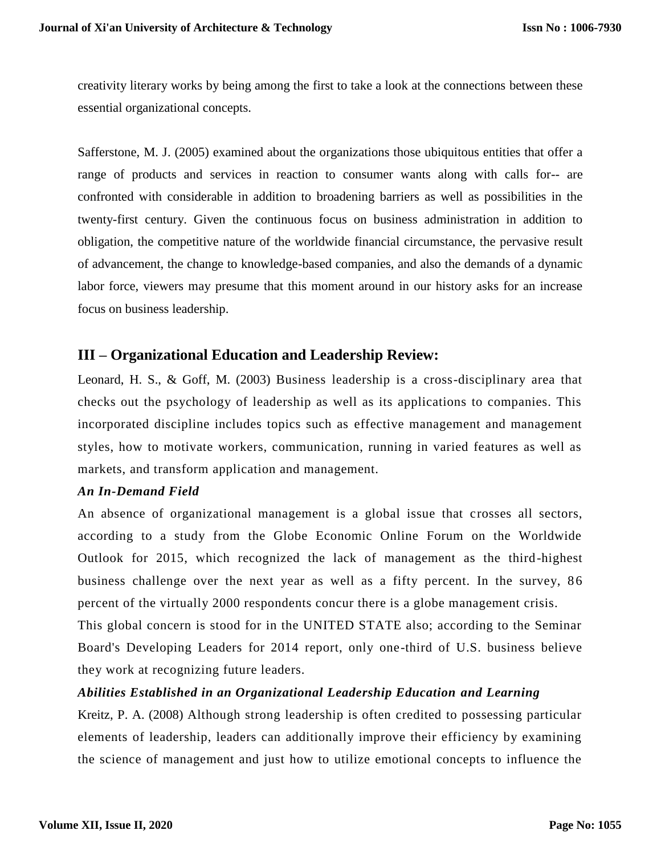creativity literary works by being among the first to take a look at the connections between these essential organizational concepts.

Safferstone, M. J. (2005) examined about the organizations those ubiquitous entities that offer a range of products and services in reaction to consumer wants along with calls for-- are confronted with considerable in addition to broadening barriers as well as possibilities in the twenty-first century. Given the continuous focus on business administration in addition to obligation, the competitive nature of the worldwide financial circumstance, the pervasive result of advancement, the change to knowledge-based companies, and also the demands of a dynamic labor force, viewers may presume that this moment around in our history asks for an increase focus on business leadership.

# **III – Organizational Education and Leadership Review:**

Leonard, H. S., & Goff, M. (2003) Business leadership is a cross-disciplinary area that checks out the psychology of leadership as well as its applications to companies. This incorporated discipline includes topics such as effective management and management styles, how to motivate workers, communication, running in varied features as well as markets, and transform application and management.

## *An In-Demand Field*

An absence of organizational management is a global issue that crosses all sectors, according to a study from the Globe Economic Online Forum on the Worldwide Outlook for 2015, which recognized the lack of management as the third-highest business challenge over the next year as well as a fifty percent. In the survey, 86 percent of the virtually 2000 respondents concur there is a globe management crisis.

This global concern is stood for in the UNITED STATE also; according to the Seminar Board's Developing Leaders for 2014 report, only one-third of U.S. business believe they work at recognizing future leaders.

## *Abilities Established in an Organizational Leadership Education and Learning*

Kreitz, P. A. (2008) Although strong leadership is often credited to possessing particular elements of leadership, leaders can additionally improve their efficiency by examining the science of management and just how to utilize emotional concepts to influence the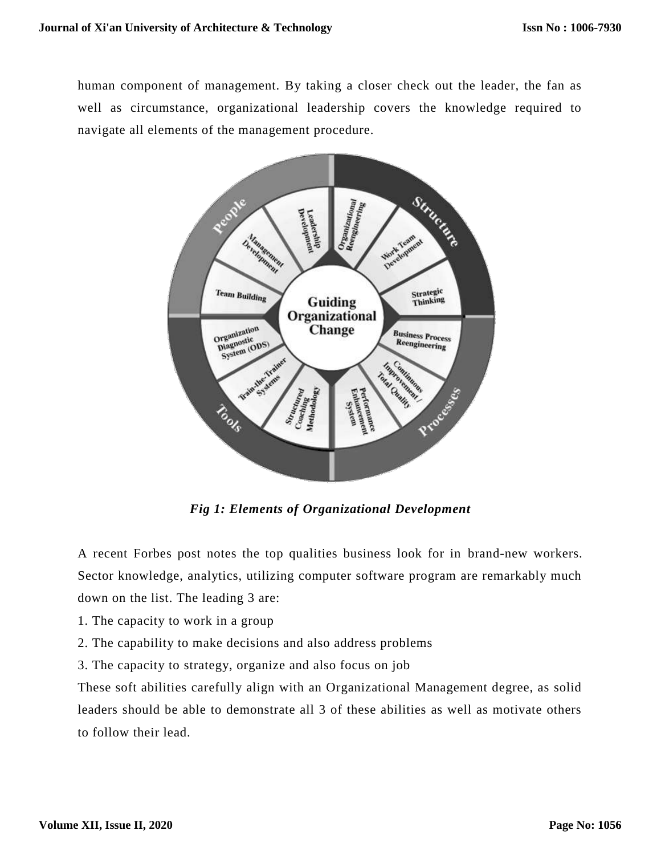human component of management. By taking a closer check out the leader, the fan as well as circumstance, organizational leadership covers the knowledge required to navigate all elements of the management procedure.



*Fig 1: Elements of Organizational Development*

A recent Forbes post notes the top qualities business look for in brand-new workers. Sector knowledge, analytics, utilizing computer software program are remarkably much down on the list. The leading 3 are:

- 1. The capacity to work in a group
- 2. The capability to make decisions and also address problems

3. The capacity to strategy, organize and also focus on job

These soft abilities carefully align with an Organizational Management degree, as solid leaders should be able to demonstrate all 3 of these abilities as well as motivate others to follow their lead.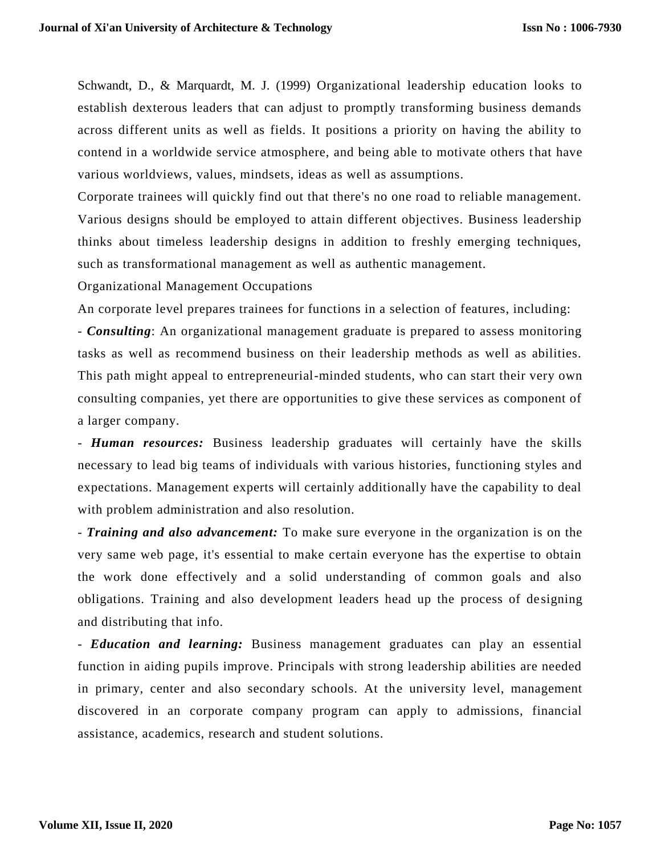Schwandt, D., & Marquardt, M. J. (1999) Organizational leadership education looks to establish dexterous leaders that can adjust to promptly transforming business demands across different units as well as fields. It positions a priority on having the ability to contend in a worldwide service atmosphere, and being able to motivate others that have various worldviews, values, mindsets, ideas as well as assumptions.

Corporate trainees will quickly find out that there's no one road to reliable management. Various designs should be employed to attain different objectives. Business leadership thinks about timeless leadership designs in addition to freshly emerging techniques, such as transformational management as well as authentic management.

Organizational Management Occupations

An corporate level prepares trainees for functions in a selection of features, including:

- *Consulting*: An organizational management graduate is prepared to assess monitoring tasks as well as recommend business on their leadership methods as well as abilities. This path might appeal to entrepreneurial-minded students, who can start their very own consulting companies, yet there are opportunities to give these services as component of a larger company.

- *Human resources:* Business leadership graduates will certainly have the skills necessary to lead big teams of individuals with various histories, functioning styles and expectations. Management experts will certainly additionally have the capability to deal with problem administration and also resolution.

- *Training and also advancement:* To make sure everyone in the organization is on the very same web page, it's essential to make certain everyone has the expertise to obtain the work done effectively and a solid understanding of common goals and also obligations. Training and also development leaders head up the process of de signing and distributing that info.

- *Education and learning:* Business management graduates can play an essential function in aiding pupils improve. Principals with strong leadership abilities are needed in primary, center and also secondary schools. At the university level, management discovered in an corporate company program can apply to admissions, financial assistance, academics, research and student solutions.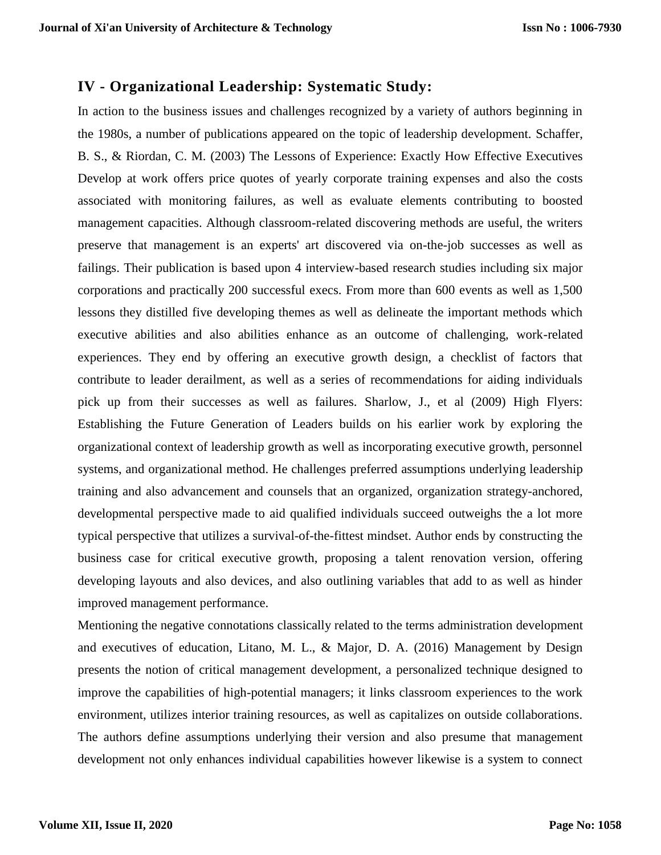# **IV - Organizational Leadership: Systematic Study:**

In action to the business issues and challenges recognized by a variety of authors beginning in the 1980s, a number of publications appeared on the topic of leadership development. Schaffer, B. S., & Riordan, C. M. (2003) The Lessons of Experience: Exactly How Effective Executives Develop at work offers price quotes of yearly corporate training expenses and also the costs associated with monitoring failures, as well as evaluate elements contributing to boosted management capacities. Although classroom-related discovering methods are useful, the writers preserve that management is an experts' art discovered via on-the-job successes as well as failings. Their publication is based upon 4 interview-based research studies including six major corporations and practically 200 successful execs. From more than 600 events as well as 1,500 lessons they distilled five developing themes as well as delineate the important methods which executive abilities and also abilities enhance as an outcome of challenging, work-related experiences. They end by offering an executive growth design, a checklist of factors that contribute to leader derailment, as well as a series of recommendations for aiding individuals pick up from their successes as well as failures. Sharlow, J., et al (2009) High Flyers: Establishing the Future Generation of Leaders builds on his earlier work by exploring the organizational context of leadership growth as well as incorporating executive growth, personnel systems, and organizational method. He challenges preferred assumptions underlying leadership training and also advancement and counsels that an organized, organization strategy-anchored, developmental perspective made to aid qualified individuals succeed outweighs the a lot more typical perspective that utilizes a survival-of-the-fittest mindset. Author ends by constructing the business case for critical executive growth, proposing a talent renovation version, offering developing layouts and also devices, and also outlining variables that add to as well as hinder improved management performance.

Mentioning the negative connotations classically related to the terms administration development and executives of education, Litano, M. L., & Major, D. A. (2016) Management by Design presents the notion of critical management development, a personalized technique designed to improve the capabilities of high-potential managers; it links classroom experiences to the work environment, utilizes interior training resources, as well as capitalizes on outside collaborations. The authors define assumptions underlying their version and also presume that management development not only enhances individual capabilities however likewise is a system to connect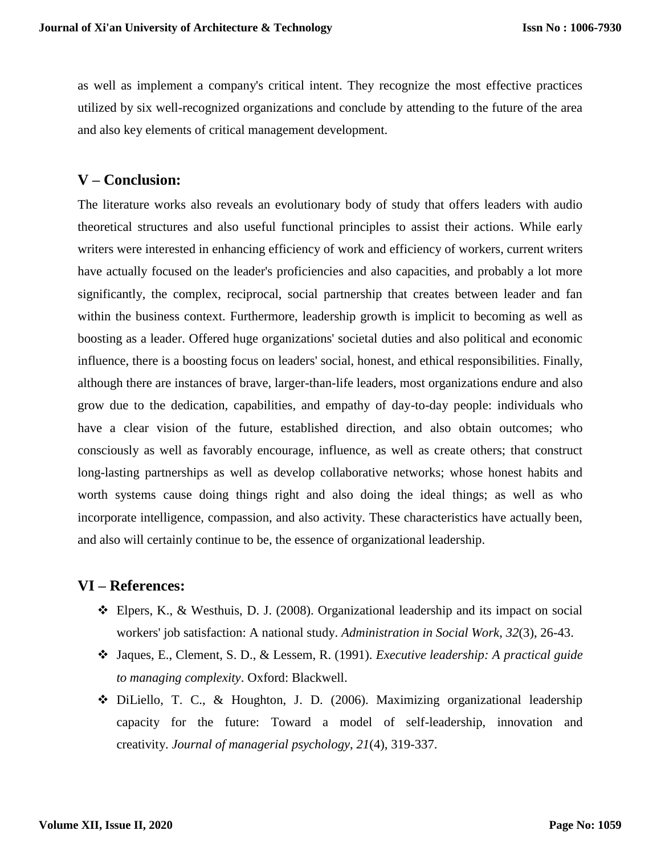as well as implement a company's critical intent. They recognize the most effective practices utilized by six well-recognized organizations and conclude by attending to the future of the area and also key elements of critical management development.

# **V – Conclusion:**

The literature works also reveals an evolutionary body of study that offers leaders with audio theoretical structures and also useful functional principles to assist their actions. While early writers were interested in enhancing efficiency of work and efficiency of workers, current writers have actually focused on the leader's proficiencies and also capacities, and probably a lot more significantly, the complex, reciprocal, social partnership that creates between leader and fan within the business context. Furthermore, leadership growth is implicit to becoming as well as boosting as a leader. Offered huge organizations' societal duties and also political and economic influence, there is a boosting focus on leaders' social, honest, and ethical responsibilities. Finally, although there are instances of brave, larger-than-life leaders, most organizations endure and also grow due to the dedication, capabilities, and empathy of day-to-day people: individuals who have a clear vision of the future, established direction, and also obtain outcomes; who consciously as well as favorably encourage, influence, as well as create others; that construct long-lasting partnerships as well as develop collaborative networks; whose honest habits and worth systems cause doing things right and also doing the ideal things; as well as who incorporate intelligence, compassion, and also activity. These characteristics have actually been, and also will certainly continue to be, the essence of organizational leadership.

# **VI – References:**

- $\clubsuit$  Elpers, K., & Westhuis, D. J. (2008). Organizational leadership and its impact on social workers' job satisfaction: A national study. *Administration in Social Work*, *32*(3), 26-43.
- Jaques, E., Clement, S. D., & Lessem, R. (1991). *Executive leadership: A practical guide to managing complexity*. Oxford: Blackwell.
- DiLiello, T. C., & Houghton, J. D. (2006). Maximizing organizational leadership capacity for the future: Toward a model of self-leadership, innovation and creativity. *Journal of managerial psychology*, *21*(4), 319-337.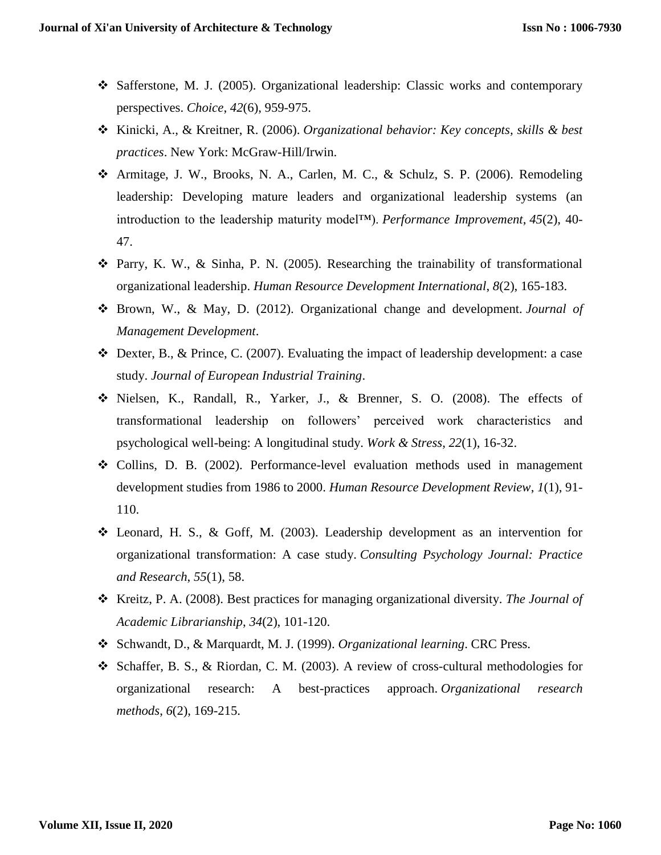- Safferstone, M. J. (2005). Organizational leadership: Classic works and contemporary perspectives. *Choice*, *42*(6), 959-975.
- Kinicki, A., & Kreitner, R. (2006). *Organizational behavior: Key concepts, skills & best practices*. New York: McGraw-Hill/Irwin.
- Armitage, J. W., Brooks, N. A., Carlen, M. C., & Schulz, S. P. (2006). Remodeling leadership: Developing mature leaders and organizational leadership systems (an introduction to the leadership maturity model™). *Performance Improvement*, *45*(2), 40- 47.
- Parry, K. W., & Sinha, P. N. (2005). Researching the trainability of transformational organizational leadership. *Human Resource Development International*, *8*(2), 165-183.
- Brown, W., & May, D. (2012). Organizational change and development. *Journal of Management Development*.
- $\div$  Dexter, B., & Prince, C. (2007). Evaluating the impact of leadership development: a case study. *Journal of European Industrial Training*.
- Nielsen, K., Randall, R., Yarker, J., & Brenner, S. O. (2008). The effects of transformational leadership on followers' perceived work characteristics and psychological well-being: A longitudinal study. *Work & Stress*, *22*(1), 16-32.
- Collins, D. B. (2002). Performance-level evaluation methods used in management development studies from 1986 to 2000. *Human Resource Development Review*, *1*(1), 91- 110.
- Leonard, H. S., & Goff, M. (2003). Leadership development as an intervention for organizational transformation: A case study. *Consulting Psychology Journal: Practice and Research*, *55*(1), 58.
- Kreitz, P. A. (2008). Best practices for managing organizational diversity. *The Journal of Academic Librarianship*, *34*(2), 101-120.
- Schwandt, D., & Marquardt, M. J. (1999). *Organizational learning*. CRC Press.
- Schaffer, B. S., & Riordan, C. M. (2003). A review of cross-cultural methodologies for organizational research: A best-practices approach. *Organizational research methods*, *6*(2), 169-215.